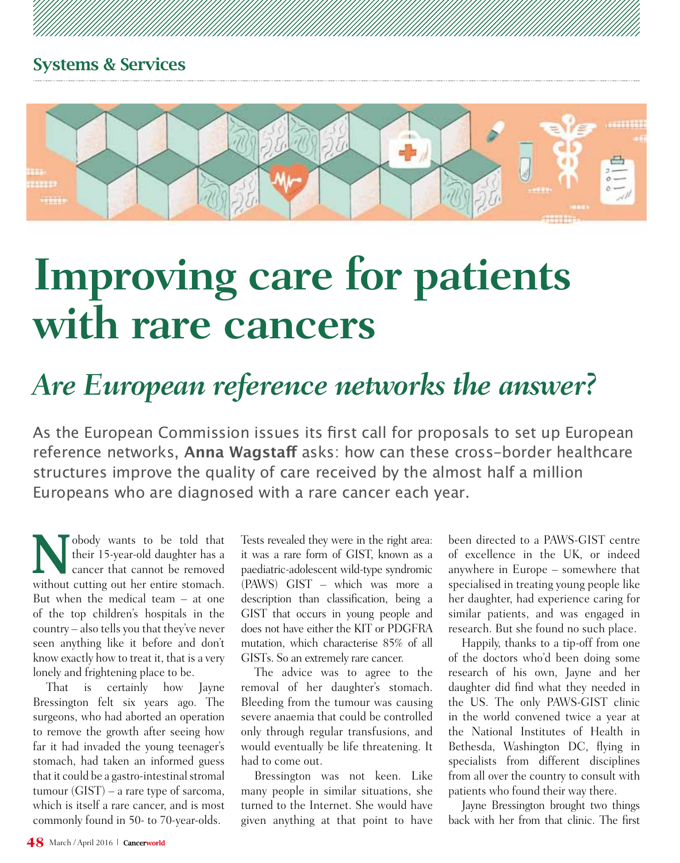

# **Improving care for patients with rare cancers**

## *Are European reference networks the answer?*

As the European Commission issues its first call for proposals to set up European reference networks, **Anna Wagstaff** asks: how can these cross-border healthcare structures improve the quality of care received by the almost half a million Europeans who are diagnosed with a rare cancer each year.

'obody wants to be told that their 15-year-old daughter has a cancer that cannot be removed without cutting out her entire stomach. But when the medical team – at one of the top children's hospitals in the country – also tells you that they've never seen anything like it before and don't know exactly how to treat it, that is a very lonely and frightening place to be.

That is certainly how Jayne Bressington felt six years ago. The surgeons, who had aborted an operation to remove the growth after seeing how far it had invaded the young teenager's stomach, had taken an informed guess that it could be a gastro-intestinal stromal tumour  $(GIST)$  – a rare type of sarcoma. which is itself a rare cancer, and is most commonly found in 50- to 70-year-olds.

Tests revealed they were in the right area: it was a rare form of GIST, known as a paediatric-adolescent wild-type syndromic (PAWS) GIST – which was more a description than classification, being a GIST that occurs in young people and does not have either the KIT or PDGFRA mutation, which characterise 85% of all GISTs. So an extremely rare cancer.

The advice was to agree to the removal of her daughter's stomach. Bleeding from the tumour was causing severe anaemia that could be controlled only through regular transfusions, and would eventually be life threatening. It had to come out.

Bressington was not keen. Like many people in similar situations, she turned to the Internet. She would have given anything at that point to have

been directed to a PAWS-GIST centre of excellence in the UK, or indeed anywhere in Europe – somewhere that specialised in treating young people like her daughter, had experience caring for similar patients, and was engaged in research. But she found no such place.

Happily, thanks to a tip-off from one of the doctors who'd been doing some research of his own, Jayne and her daughter did find what they needed in the US. The only PAWS-GIST clinic in the world convened twice a year at the National Institutes of Health in Bethesda, Washington DC, flying in specialists from different disciplines from all over the country to consult with patients who found their way there.

Jayne Bressington brought two things back with her from that clinic. The first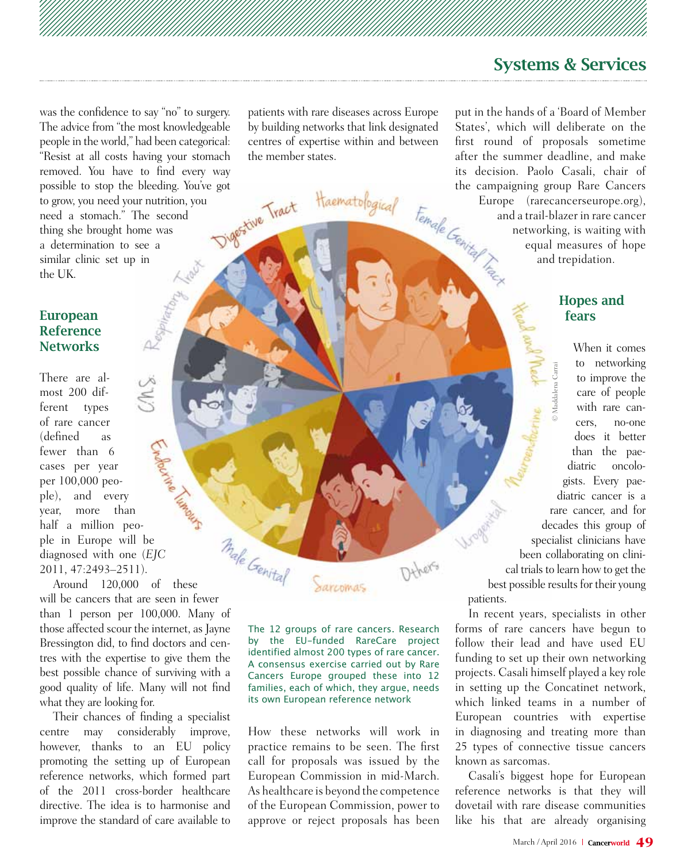was the confidence to say "no" to surgery. The advice from "the most knowledgeable people in the world," had been categorical: "Resist at all costs having your stomach removed. You have to find every way possible to stop the bleeding. You've got<br>to grow, you need your nutrition, you<br>need a stomach." The second<br>thing she brought home was<br>a determination to grow, you need your nutrition, you need a stomach." The second thing she brought home was a determination to see a similar clinic set up in the UK.

### European Reference **Networks**

There are almost 200 different types of rare cancer (defined as fewer than 6 cases per year per 100,000 people), and every year, more than half a million people in Europe will be diagnosed with one (*EJC* 2011, 47:2493–2511).

male Genital Around 120,000 of these will be cancers that are seen in fewer than 1 person per 100,000. Many of those affected scour the internet, as Jayne Bressington did, to find doctors and centres with the expertise to give them the best possible chance of surviving with a good quality of life. Many will not find what they are looking for.

Their chances of finding a specialist centre may considerably improve, however, thanks to an EU policy promoting the setting up of European reference networks, which formed part of the 2011 cross-border healthcare directive. The idea is to harmonise and improve the standard of care available to

patients with rare diseases across Europe by building networks that link designated centres of expertise within and between the member states.

Haematological

The 12 groups of rare cancers. Research by the EU-funded RareCare project identified almost 200 types of rare cancer. A consensus exercise carried out by Rare Cancers Europe grouped these into 12 families, each of which, they argue, needs its own European reference network

Sarcomas

How these networks will work in practice remains to be seen. The first call for proposals was issued by the European Commission in mid-March. As healthcare is beyond the competence of the European Commission, power to approve or reject proposals has been

put in the hands of a 'Board of Member States', which will deliberate on the first round of proposals sometime after the summer deadline, and make its decision. Paolo Casali, chair of the campaigning group Rare Cancers<br>Europe (rarecancerseurope.org),<br>and a trail-blazer in rare cancer<br>networking, is waiting with<br>equal measures of hope<br>and trepidation. Europe (rarecancerseurope.org), and a trail-blazer in rare cancer networking, is waiting with equal measures of hope and trepidation.

### Hopes and fears

The content of the content of the content of the carred and the packing to improve the care of people with rare cancers, no-one does it better than the packinatric oncologists. Every packiatric cancer is a rare cancer, and When it comes to networking to improve the care of people with rare cancers, no-one does it better than the paediatric oncologists. Every paediatric cancer is a rare cancer, and for decades this group of specialist clinicians have been collaborating on clinical trials to learn how to get the best possible results for their young

In recent years, specialists in other forms of rare cancers have begun to follow their lead and have used EU funding to set up their own networking projects. Casali himself played a key role in setting up the Concatinet network, which linked teams in a number of European countries with expertise in diagnosing and treating more than 25 types of connective tissue cancers known as sarcomas.

patients.

Dihers

Casali's biggest hope for European reference networks is that they will dovetail with rare disease communities like his that are already organising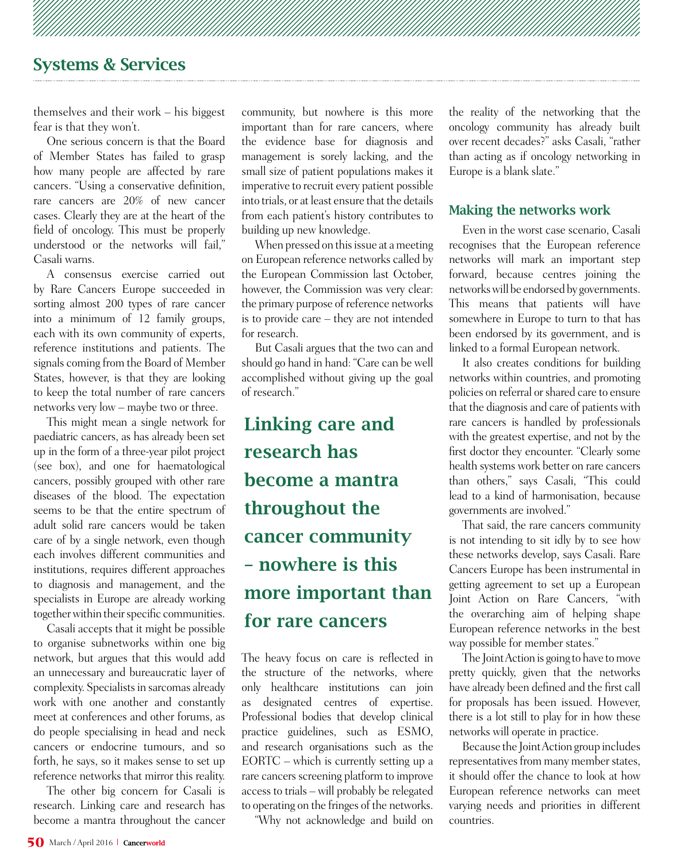themselves and their work – his biggest fear is that they won't.

One serious concern is that the Board of Member States has failed to grasp how many people are affected by rare cancers. "Using a conservative definition, rare cancers are 20% of new cancer cases. Clearly they are at the heart of the field of oncology. This must be properly understood or the networks will fail," Casali warns.

A consensus exercise carried out by Rare Cancers Europe succeeded in sorting almost 200 types of rare cancer into a minimum of 12 family groups, each with its own community of experts, reference institutions and patients. The signals coming from the Board of Member States, however, is that they are looking to keep the total number of rare cancers networks very low – maybe two or three.

This might mean a single network for paediatric cancers, as has already been set up in the form of a three-year pilot project (see box), and one for haematological cancers, possibly grouped with other rare diseases of the blood. The expectation seems to be that the entire spectrum of adult solid rare cancers would be taken care of by a single network, even though each involves different communities and institutions, requires different approaches to diagnosis and management, and the specialists in Europe are already working together within their specific communities.

Casali accepts that it might be possible to organise subnetworks within one big network, but argues that this would add an unnecessary and bureaucratic layer of complexity. Specialists in sarcomas already work with one another and constantly meet at conferences and other forums, as do people specialising in head and neck cancers or endocrine tumours, and so forth, he says, so it makes sense to set up reference networks that mirror this reality.

The other big concern for Casali is research. Linking care and research has become a mantra throughout the cancer

community, but nowhere is this more important than for rare cancers, where the evidence base for diagnosis and management is sorely lacking, and the small size of patient populations makes it imperative to recruit every patient possible into trials, or at least ensure that the details from each patient's history contributes to building up new knowledge.

When pressed on this issue at a meeting on European reference networks called by the European Commission last October, however, the Commission was very clear: the primary purpose of reference networks is to provide care – they are not intended for research.

But Casali argues that the two can and should go hand in hand: "Care can be well accomplished without giving up the goal of research."

### Linking care and research has become a mantra throughout the cancer community – nowhere is this more important than for rare cancers

The heavy focus on care is reflected in the structure of the networks, where only healthcare institutions can join as designated centres of expertise. Professional bodies that develop clinical practice guidelines, such as ESMO, and research organisations such as the EORTC – which is currently setting up a rare cancers screening platform to improve access to trials – will probably be relegated to operating on the fringes of the networks.

"Why not acknowledge and build on

the reality of the networking that the oncology community has already built over recent decades?" asks Casali, "rather than acting as if oncology networking in Europe is a blank slate."

### Making the networks work

Even in the worst case scenario, Casali recognises that the European reference networks will mark an important step forward, because centres joining the networks will be endorsed by governments. This means that patients will have somewhere in Europe to turn to that has been endorsed by its government, and is linked to a formal European network.

It also creates conditions for building networks within countries, and promoting policies on referral or shared care to ensure that the diagnosis and care of patients with rare cancers is handled by professionals with the greatest expertise, and not by the first doctor they encounter. "Clearly some health systems work better on rare cancers than others," says Casali, "This could lead to a kind of harmonisation, because governments are involved."

That said, the rare cancers community is not intending to sit idly by to see how these networks develop, says Casali. Rare Cancers Europe has been instrumental in getting agreement to set up a European Joint Action on Rare Cancers, "with the overarching aim of helping shape European reference networks in the best way possible for member states."

The Joint Action is going to have to move pretty quickly, given that the networks have already been defined and the first call for proposals has been issued. However, there is a lot still to play for in how these networks will operate in practice.

Because the Joint Action group includes representatives from many member states, it should offer the chance to look at how European reference networks can meet varying needs and priorities in different countries.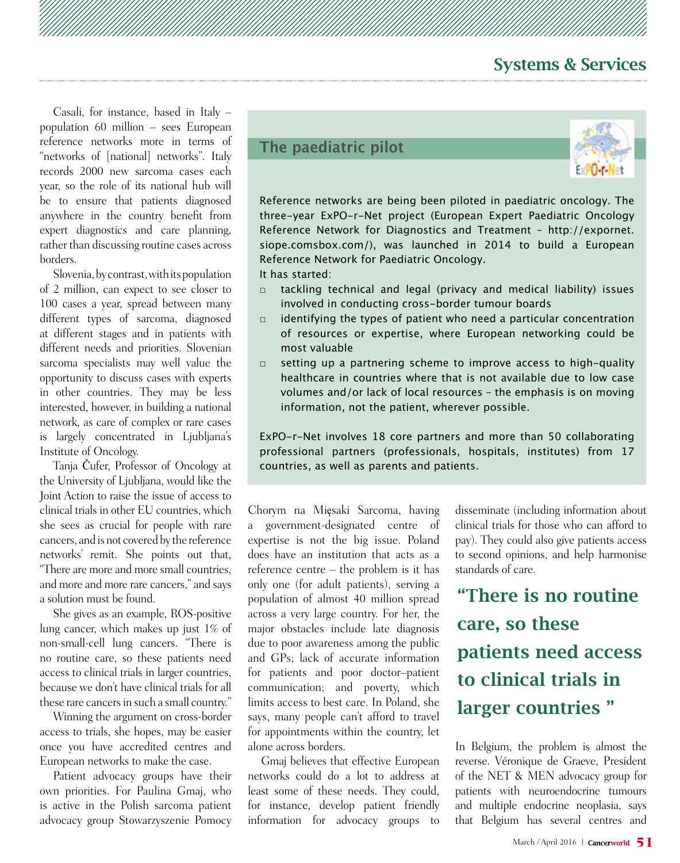Casali, for instance, based in Italy – population 60 million – sees European reference networks more in terms of "networks of [national] networks". Italy records 2000 new sarcoma cases each year, so the role of its national hub will be to ensure that patients diagnosed anywhere in the country benefit from expert diagnostics and care planning, rather than discussing routine cases across borders.

Slovenia, by contrast, with its population of 2 million, can expect to see closer to 100 cases a year, spread between many different types of sarcoma, diagnosed at different stages and in patients with different needs and priorities. Slovenian sarcoma specialists may well value the opportunity to discuss cases with experts in other countries. They may be less interested, however, in building a national network, as care of complex or rare cases is largely concentrated in Ljubljana's Institute of Oncology.

Tanja Čufer, Professor of Oncology at the University of Ljubljana, would like the Joint Action to raise the issue of access to clinical trials in other EU countries, which she sees as crucial for people with rare cancers, and is not covered by the reference networks' remit. She points out that, "There are more and more small countries, and more and more rare cancers," and says a solution must be found.

She gives as an example, ROS-positive lung cancer, which makes up just 1% of non-small-cell lung cancers. "There is no routine care, so these patients need access to clinical trials in larger countries, because we don't have clinical trials for all these rare cancers in such a small country."

Winning the argument on cross-border access to trials, she hopes, may be easier once you have accredited centres and European networks to make the case.

Patient advocacy groups have their own priorities. For Paulina Gmaj, who is active in the Polish sarcoma patient advocacy group Stowarzyszenie Pomocy



Reference networks are being been piloted in paediatric oncology. The three-year ExPO-r-Net project (European Expert Paediatric Oncology Reference Network for Diagnostics and Treatment – http://expornet. siope.comsbox.com/), was launched in 2014 to build a European Reference Network for Paediatric Oncology.

It has started:

- □ tackling technical and legal (privacy and medical liability) issues involved in conducting cross-border tumour boards
- $\Box$  identifying the types of patient who need a particular concentration of resources or expertise, where European networking could be most valuable
- setting up a partnering scheme to improve access to high-quality healthcare in countries where that is not available due to low case volumes and/or lack of local resources – the emphasis is on moving information, not the patient, wherever possible.

ExPO-r-Net involves 18 core partners and more than 50 collaborating professional partners (professionals, hospitals, institutes) from 17 countries, as well as parents and patients.

Chorym na Mięsaki Sarcoma, having a government-designated centre of expertise is not the big issue. Poland does have an institution that acts as a reference centre – the problem is it has only one (for adult patients), serving a population of almost 40 million spread across a very large country. For her, the major obstacles include late diagnosis due to poor awareness among the public and GPs; lack of accurate information for patients and poor doctor–patient communication; and poverty, which limits access to best care. In Poland, she says, many people can't afford to travel for appointments within the country, let alone across borders.

Gmaj believes that effective European networks could do a lot to address at least some of these needs. They could, for instance, develop patient friendly information for advocacy groups to

disseminate (including information about clinical trials for those who can afford to pay). They could also give patients access to second opinions, and help harmonise standards of care.

"There is no routine care, so these patients need access to clinical trials in larger countries "

In Belgium, the problem is almost the reverse. Véronique de Graeve, President of the NET & MEN advocacy group for patients with neuroendocrine tumours and multiple endocrine neoplasia, says that Belgium has several centres and